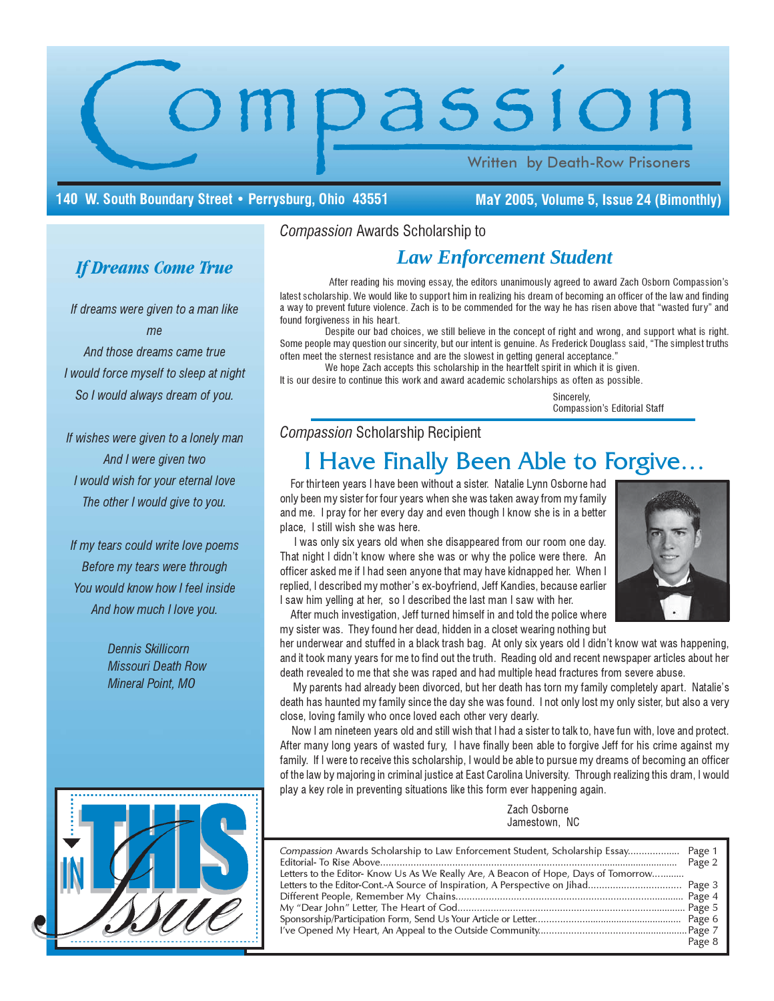

140 W. South Boundary Street • Perrysburg, Ohio 43551 MaY 2005, Volume 5, Issue 24 (Bimonthly)

#### If Dreams Come True

If dreams were given to a man like me

And those dreams came true I would force myself to sleep at night So I would always dream of you.

If wishes were given to a lonely man And I were given two I would wish for your eternal love The other I would give to you.

If my tears could write love poems Before my tears were through You would know how I feel inside And how much I love you.

> Dennis Skillicorn Missouri Death Row Mineral Point, MO



#### Compassion Awards Scholarship to

### *Law Enforcement Student*

 After reading his moving essay, the editors unanimously agreed to award Zach Osborn Compassion's latest scholarship. We would like to support him in realizing his dream of becoming an officer of the law and finding a way to prevent future violence. Zach is to be commended for the way he has risen above that "wasted fury" and found forgiveness in his heart.

Despite our bad choices, we still believe in the concept of right and wrong, and support what is right. Some people may question our sincerity, but our intent is genuine. As Frederick Douglass said, "The simplest truths often meet the sternest resistance and are the slowest in getting general acceptance."

We hope Zach accepts this scholarship in the heartfelt spirit in which it is given. It is our desire to continue this work and award academic scholarships as often as possible.

> Sincerely, Compassion's Editorial Staff

#### Compassion Scholarship Recipient

### I Have Finally Been Able to Forgive…

 For thirteen years I have been without a sister. Natalie Lynn Osborne had only been my sister for four years when she was taken away from my family and me. I pray for her every day and even though I know she is in a better place, I still wish she was here.

 I was only six years old when she disappeared from our room one day. That night I didn't know where she was or why the police were there. An officer asked me if I had seen anyone that may have kidnapped her. When I replied, I described my mother's ex-boyfriend, Jeff Kandies, because earlier I saw him yelling at her, so I described the last man I saw with her.



 After much investigation, Jeff turned himself in and told the police where my sister was. They found her dead, hidden in a closet wearing nothing but

her underwear and stuffed in a black trash bag. At only six years old I didn't know wat was happening, and it took many years for me to find out the truth. Reading old and recent newspaper articles about her death revealed to me that she was raped and had multiple head fractures from severe abuse.

 My parents had already been divorced, but her death has torn my family completely apart. Natalie's death has haunted my family since the day she was found. I not only lost my only sister, but also a very close, loving family who once loved each other very dearly.

 Now I am nineteen years old and still wish that I had a sister to talk to, have fun with, love and protect. After many long years of wasted fury, I have finally been able to forgive Jeff for his crime against my family. If I were to receive this scholarship, I would be able to pursue my dreams of becoming an officer of the law by majoring in criminal justice at East Carolina University. Through realizing this dram, I would play a key role in preventing situations like this form ever happening again.

> Zach Osborne Jamestown, NC

| Compassion Awards Scholarship to Law Enforcement Student, Scholarship Essay Page 1<br>Letters to the Editor-Know Us As We Really Are, A Beacon of Hope, Days of Tomorrow |        |
|--------------------------------------------------------------------------------------------------------------------------------------------------------------------------|--------|
|                                                                                                                                                                          |        |
|                                                                                                                                                                          | Page 8 |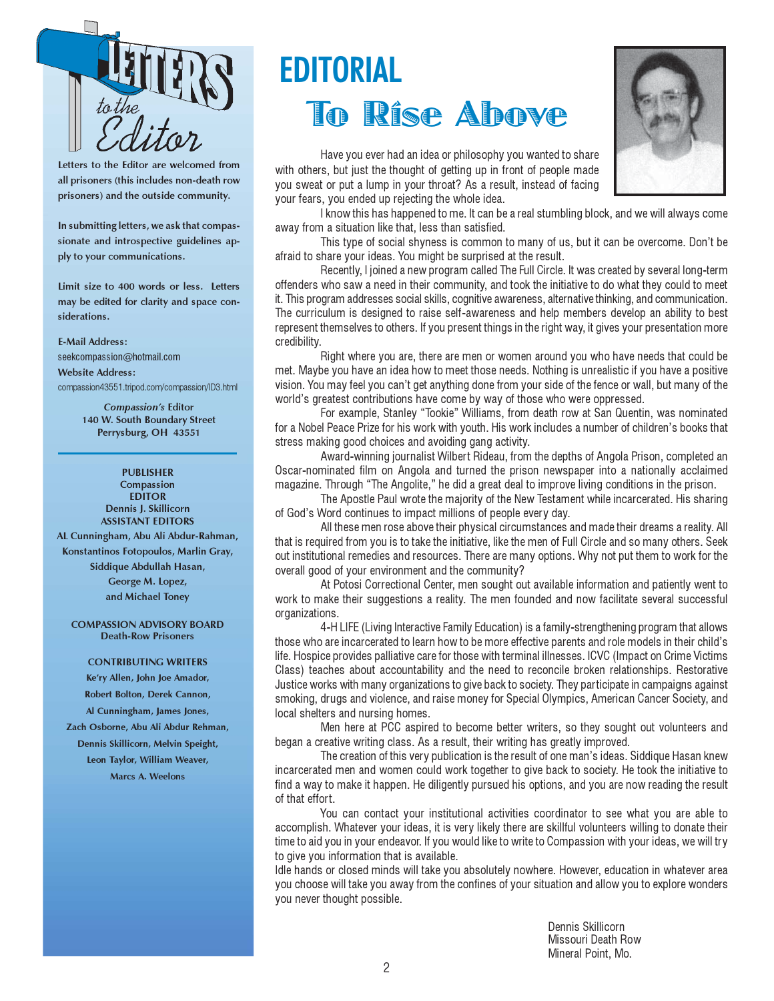

Letters to the Editor are welcomed from all prisoners (this includes non-death row prisoners) and the outside community.

In submitting letters, we ask that compassionate and introspective guidelines apply to your communications.

Limit size to 400 words or less. Letters may be edited for clarity and space considerations.

E-Mail Address: seekcompassion@hotmail.com Website Address: compassion43551.tripod.com/compassion/ID3.html

> Compassion's Editor 140 W. South Boundary Street Perrysburg, OH 43551

**PUBLISHER** Compassion EDITOR Dennis J. Skillicorn ASSISTANT EDITORS

AL Cunningham, Abu Ali Abdur-Rahman, Konstantinos Fotopoulos, Marlin Gray,

Siddique Abdullah Hasan,

George M. Lopez, and Michael Toney

COMPASSION ADVISORY BOARD Death-Row Prisoners

#### CONTRIBUTING WRITERS

Ke'ry Allen, John Joe Amador, Robert Bolton, Derek Cannon, Al Cunningham, James Jones, Zach Osborne, Abu Ali Abdur Rehman, Dennis Skillicorn, Melvin Speight, Leon Taylor, William Weaver, Marcs A. Weelons

# EDITORIAL To Rise Above



Have you ever had an idea or philosophy you wanted to share with others, but just the thought of getting up in front of people made you sweat or put a lump in your throat? As a result, instead of facing your fears, you ended up rejecting the whole idea.

I know this has happened to me. It can be a real stumbling block, and we will always come away from a situation like that, less than satisfied.

This type of social shyness is common to many of us, but it can be overcome. Don't be afraid to share your ideas. You might be surprised at the result.

Recently, I joined a new program called The Full Circle. It was created by several long-term offenders who saw a need in their community, and took the initiative to do what they could to meet it. This program addresses social skills, cognitive awareness, alternative thinking, and communication. The curriculum is designed to raise self-awareness and help members develop an ability to best represent themselves to others. If you present things in the right way, it gives your presentation more credibility.

Right where you are, there are men or women around you who have needs that could be met. Maybe you have an idea how to meet those needs. Nothing is unrealistic if you have a positive vision. You may feel you can't get anything done from your side of the fence or wall, but many of the world's greatest contributions have come by way of those who were oppressed.

For example, Stanley "Tookie" Williams, from death row at San Quentin, was nominated for a Nobel Peace Prize for his work with youth. His work includes a number of children's books that stress making good choices and avoiding gang activity.

Award-winning journalist Wilbert Rideau, from the depths of Angola Prison, completed an Oscar-nominated film on Angola and turned the prison newspaper into a nationally acclaimed magazine. Through "The Angolite," he did a great deal to improve living conditions in the prison.

The Apostle Paul wrote the majority of the New Testament while incarcerated. His sharing of God's Word continues to impact millions of people every day.

All these men rose above their physical circumstances and made their dreams a reality. All that is required from you is to take the initiative, like the men of Full Circle and so many others. Seek out institutional remedies and resources. There are many options. Why not put them to work for the overall good of your environment and the community?

At Potosi Correctional Center, men sought out available information and patiently went to work to make their suggestions a reality. The men founded and now facilitate several successful organizations.

4-H LIFE (Living Interactive Family Education) is a family-strengthening program that allows those who are incarcerated to learn how to be more effective parents and role models in their child's life. Hospice provides palliative care for those with terminal illnesses. ICVC (Impact on Crime Victims Class) teaches about accountability and the need to reconcile broken relationships. Restorative Justice works with many organizations to give back to society. They participate in campaigns against smoking, drugs and violence, and raise money for Special Olympics, American Cancer Society, and local shelters and nursing homes.

Men here at PCC aspired to become better writers, so they sought out volunteers and began a creative writing class. As a result, their writing has greatly improved.

The creation of this very publication is the result of one man's ideas. Siddique Hasan knew incarcerated men and women could work together to give back to society. He took the initiative to find a way to make it happen. He diligently pursued his options, and you are now reading the result of that effort.

You can contact your institutional activities coordinator to see what you are able to accomplish. Whatever your ideas, it is very likely there are skillful volunteers willing to donate their time to aid you in your endeavor. If you would like to write to Compassion with your ideas, we will try to give you information that is available.

Idle hands or closed minds will take you absolutely nowhere. However, education in whatever area you choose will take you away from the confines of your situation and allow you to explore wonders you never thought possible.

> Dennis Skillicorn Missouri Death Row Mineral Point, Mo.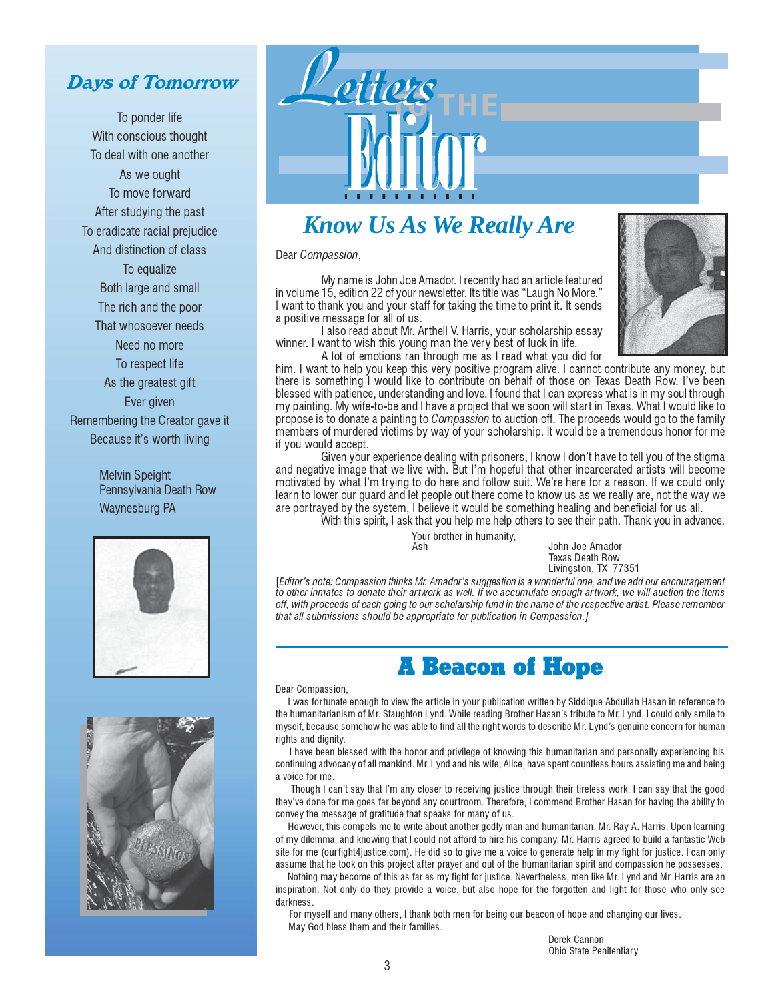#### Days of Tomorrow

To ponder life With conscious thought To deal with one another As we ought To move forward After studying the past To eradicate racial prejudice And distinction of class To equalize Both large and small The rich and the poor That whosoever needs Need no more To respect life As the greatest gift Ever given Remembering the Creator gave it Because it's worth living

> Melvin Speight Pennsylvania Death Row Waynesburg PA







### *Know Us As We Really Are*

Dear Compassion,

My name is John Joe Amador. I recently had an article featured in volume 15, edition 22 of your newsletter. Its title was "Laugh No More." I want to thank you and your staff for taking the time to print it. It sends a positive message for all of us.

I also read about Mr. Arthell V. Harris, your scholarship essay winner. I want to wish this young man the very best of luck in life. A lot of emotions ran through me as I read what you did for



him. I want to help you keep this very positive program alive. I cannot contribute any money, but there is something I would like to contribute on behalf of those on Texas Death Row. I've been blessed with patience, understanding and love. I found that I can express what is in my soul through my painting. My wife-to-be and I have a project that we soon will start in Texas. What I would like to propose is to donate a painting to *Compassion* to auction off. The proceeds would go to the family members of murdered victims by way of your scholarship. It would be a tremendous honor for me if you would accept.

Given your experience dealing with prisoners, I know I don't have to tell you of the stigma and negative image that we live with. But I'm hopeful that other incarcerated artists will become motivated by what I'm trying to do here and follow suit. We're here for a reason. If we could only learn to lower our guard and let people out there come to know us as we really are, not the way we are portrayed by the system, I believe it would be something healing and beneficial for us all.

With this spirit, I ask that you help me help others to see their path. Thank you in advance.

Your brother in humanity,<br>Ash

John Joe Amador Texas Death Row Livingston, TX 77351

[Editor's note: Compassion thinks Mr. Amador's suggestion is a wonderful one, and we add our encouragement to other inmates to donate their artwork as well. If we accumulate enough artwork, we will auction the items off, with proceeds of each going to our scholarship fund in the name of the respective artist. Please remember that all submissions should be appropriate for publication in Compassion.]

### A Beacon of Hope

Dear Compassion,

 I was fortunate enough to view the article in your publication written by Siddique Abdullah Hasan in reference to the humanitarianism of Mr. Staughton Lynd. While reading Brother Hasan's tribute to Mr. Lynd, I could only smile to myself, because somehow he was able to find all the right words to describe Mr. Lynd's genuine concern for human rights and dignity.

 I have been blessed with the honor and privilege of knowing this humanitarian and personally experiencing his continuing advocacy of all mankind. Mr. Lynd and his wife, Alice, have spent countless hours assisting me and being a voice for me.

 Though I can't say that I'm any closer to receiving justice through their tireless work, I can say that the good they've done for me goes far beyond any courtroom. Therefore, I commend Brother Hasan for having the ability to convey the message of gratitude that speaks for many of us.

 However, this compels me to write about another godly man and humanitarian, Mr. Ray A. Harris. Upon learning of my dilemma, and knowing that I could not afford to hire his company, Mr. Harris agreed to build a fantastic Web site for me (ourfight4justice.com). He did so to give me a voice to generate help in my fight for justice. I can only assume that he took on this project after prayer and out of the humanitarian spirit and compassion he possesses.

 Nothing may become of this as far as my fight for justice. Nevertheless, men like Mr. Lynd and Mr. Harris are an inspiration. Not only do they provide a voice, but also hope for the forgotten and light for those who only see darkness.

 For myself and many others, I thank both men for being our beacon of hope and changing our lives. May God bless them and their families.

> Derek Cannon Ohio State Penitentiary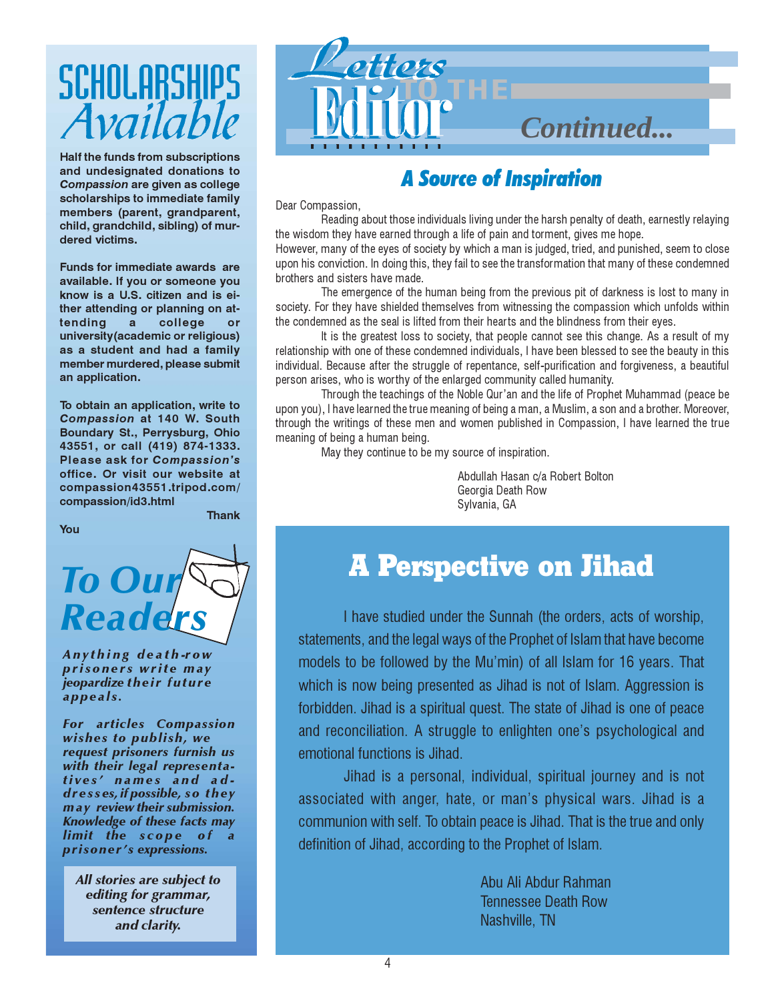# SCHOLARSHIPS Availal

Half the funds from subscriptions and undesignated donations to Compassion are given as college scholarships to immediate family members (parent, grandparent, child, grandchild, sibling) of murdered victims.

Funds for immediate awards are available. If you or someone you know is a U.S. citizen and is either attending or planning on attending a college or university(academic or religious) as a student and had a family member murdered, please submit an application.

To obtain an application, write to Compassion at 140 W. South Boundary St., Perrysburg, Ohio 43551, or call (419) 874-1333. Please ask for Compassion's office. Or visit our website at compassion43551.tripod.com/ compassion/id3.html

Thank

You



Anything death-row prisoners write may jeopardize their future appeals.

For articles Compassion wishes to publish, we request prisoners furnish us with their legal representatives' names and addresses, if possible, so they may review their submission. Knowledge of these facts may limit the scope of a prisoner's expressions.

All stories are subject to editing for grammar, sentence structure and clarity.



### A Source of Inspiration

*Continued...*

Dear Compassion,

Reading about those individuals living under the harsh penalty of death, earnestly relaying the wisdom they have earned through a life of pain and torment, gives me hope.

However, many of the eyes of society by which a man is judged, tried, and punished, seem to close upon his conviction. In doing this, they fail to see the transformation that many of these condemned brothers and sisters have made.

The emergence of the human being from the previous pit of darkness is lost to many in society. For they have shielded themselves from witnessing the compassion which unfolds within the condemned as the seal is lifted from their hearts and the blindness from their eyes.

It is the greatest loss to society, that people cannot see this change. As a result of my relationship with one of these condemned individuals, I have been blessed to see the beauty in this individual. Because after the struggle of repentance, self-purification and forgiveness, a beautiful person arises, who is worthy of the enlarged community called humanity.

Through the teachings of the Noble Qur'an and the life of Prophet Muhammad (peace be upon you), I have learned the true meaning of being a man, a Muslim, a son and a brother. Moreover, through the writings of these men and women published in Compassion, I have learned the true meaning of being a human being.

May they continue to be my source of inspiration.

Abdullah Hasan c/a Robert Bolton Georgia Death Row Sylvania, GA

# A Perspective on Jihad

I have studied under the Sunnah (the orders, acts of worship, statements, and the legal ways of the Prophet of Islam that have become models to be followed by the Mu'min) of all Islam for 16 years. That which is now being presented as Jihad is not of Islam. Aggression is forbidden. Jihad is a spiritual quest. The state of Jihad is one of peace and reconciliation. A struggle to enlighten one's psychological and emotional functions is Jihad.

Jihad is a personal, individual, spiritual journey and is not associated with anger, hate, or man's physical wars. Jihad is a communion with self. To obtain peace is Jihad. That is the true and only definition of Jihad, according to the Prophet of Islam.

> Abu Ali Abdur Rahman Tennessee Death Row Nashville, TN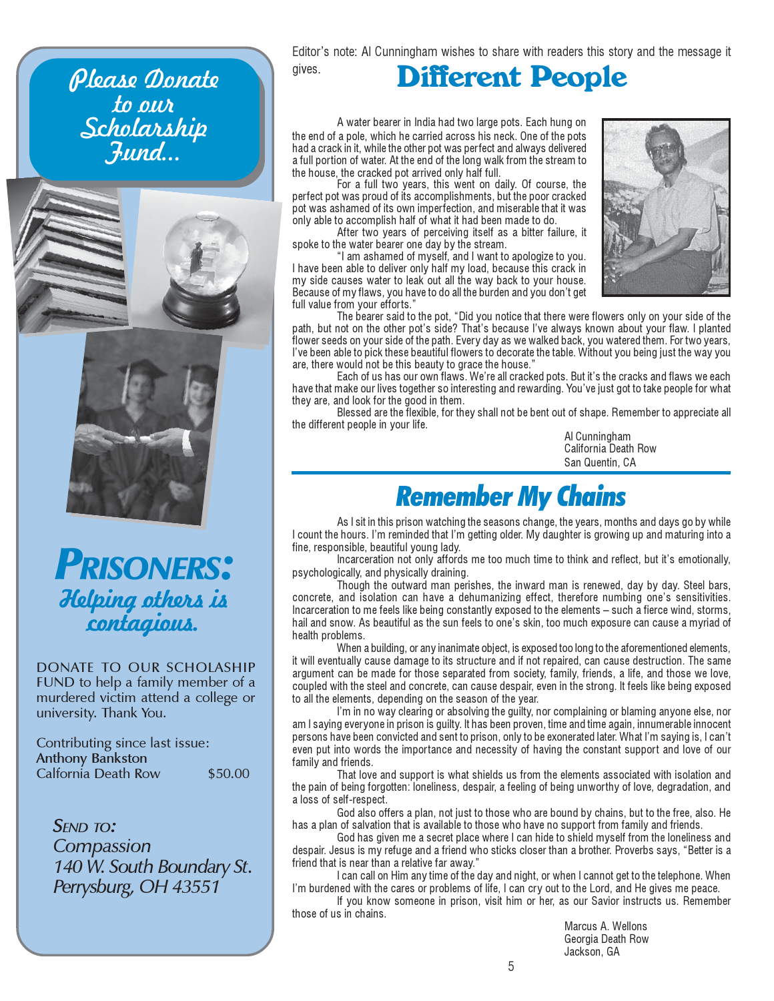Please Donate to our Scholarship<br>Fund...





PRISONERS: Helping others is contagious.

DONATE TO OUR SCHOLASHIP FUND to help a family member of a murdered victim attend a college or university. Thank You.

Contributing since last issue: Anthony Bankston Calfornia Death Row \$50.00

SEND TO: Compassion 140 W. South Boundary St. Perrysburg, OH 43551

Editor's note: Al Cunningham wishes to share with readers this story and the message it

## Different People

A water bearer in India had two large pots. Each hung on the end of a pole, which he carried across his neck. One of the pots had a crack in it, while the other pot was perfect and always delivered a full portion of water. At the end of the long walk from the stream to the house, the cracked pot arrived only half full.

gives.

For a full two years, this went on daily. Of course, the perfect pot was proud of its accomplishments, but the poor cracked pot was ashamed of its own imperfection, and miserable that it was only able to accomplish half of what it had been made to do.

After two years of perceiving itself as a bitter failure, it spoke to the water bearer one day by the stream.

"I am ashamed of myself, and I want to apologize to you. I have been able to deliver only half my load, because this crack in my side causes water to leak out all the way back to your house. Because of my flaws, you have to do all the burden and you don't get full value from your efforts."



The bearer said to the pot, "Did you notice that there were flowers only on your side of the path, but not on the other pot's side? That's because I've always known about your flaw. I planted flower seeds on your side of the path. Every day as we walked back, you watered them. For two years, I've been able to pick these beautiful flowers to decorate the table. Without you being just the way you are, there would not be this beauty to grace the house."

Each of us has our own flaws. We're all cracked pots. But it's the cracks and flaws we each have that make our lives together so interesting and rewarding. You've just got to take people for what they are, and look for the good in them.

Blessed are the flexible, for they shall not be bent out of shape. Remember to appreciate all the different people in your life.

Al Cunningham California Death Row San Quentin, CA

### Remember My Chains

As I sit in this prison watching the seasons change, the years, months and days go by while I count the hours. I'm reminded that I'm getting older. My daughter is growing up and maturing into a fine, responsible, beautiful young lady.

Incarceration not only affords me too much time to think and reflect, but it's emotionally, psychologically, and physically draining.

Though the outward man perishes, the inward man is renewed, day by day. Steel bars, concrete, and isolation can have a dehumanizing effect, therefore numbing one's sensitivities. Incarceration to me feels like being constantly exposed to the elements – such a fierce wind, storms, hail and snow. As beautiful as the sun feels to one's skin, too much exposure can cause a myriad of health problems.

When a building, or any inanimate object, is exposed too long to the aforementioned elements, it will eventually cause damage to its structure and if not repaired, can cause destruction. The same argument can be made for those separated from society, family, friends, a life, and those we love, coupled with the steel and concrete, can cause despair, even in the strong. It feels like being exposed to all the elements, depending on the season of the year.

I'm in no way clearing or absolving the guilty, nor complaining or blaming anyone else, nor am I saying everyone in prison is guilty. It has been proven, time and time again, innumerable innocent persons have been convicted and sent to prison, only to be exonerated later. What I'm saying is, I can't even put into words the importance and necessity of having the constant support and love of our family and friends.

That love and support is what shields us from the elements associated with isolation and the pain of being forgotten: loneliness, despair, a feeling of being unworthy of love, degradation, and a loss of self-respect.

God also offers a plan, not just to those who are bound by chains, but to the free, also. He has a plan of salvation that is available to those who have no support from family and friends.

God has given me a secret place where I can hide to shield myself from the loneliness and despair. Jesus is my refuge and a friend who sticks closer than a brother. Proverbs says, "Better is a friend that is near than a relative far away."

I can call on Him any time of the day and night, or when I cannot get to the telephone. When I'm burdened with the cares or problems of life, I can cry out to the Lord, and He gives me peace.

If you know someone in prison, visit him or her, as our Savior instructs us. Remember those of us in chains.

> Marcus A. Wellons Georgia Death Row Jackson, GA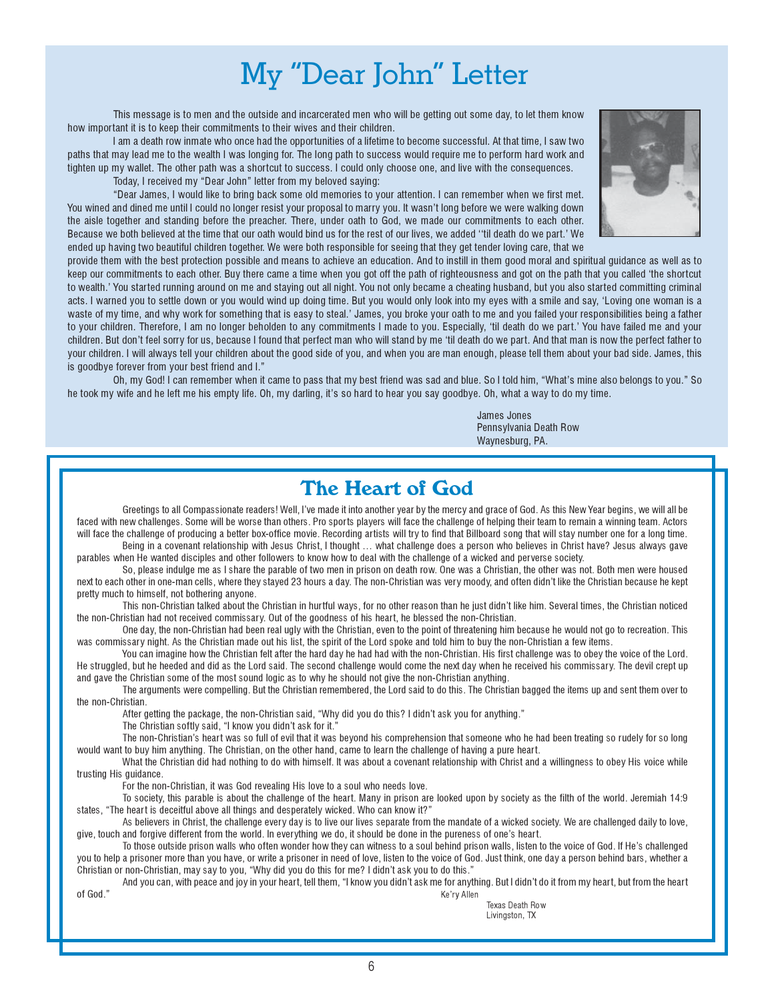# My "Dear John" Letter

This message is to men and the outside and incarcerated men who will be getting out some day, to let them know how important it is to keep their commitments to their wives and their children.

I am a death row inmate who once had the opportunities of a lifetime to become successful. At that time, I saw two paths that may lead me to the wealth I was longing for. The long path to success would require me to perform hard work and tighten up my wallet. The other path was a shortcut to success. I could only choose one, and live with the consequences.

Today, I received my "Dear John" letter from my beloved saying:

"Dear James, I would like to bring back some old memories to your attention. I can remember when we first met. You wined and dined me until I could no longer resist your proposal to marry you. It wasn't long before we were walking down the aisle together and standing before the preacher. There, under oath to God, we made our commitments to each other. Because we both believed at the time that our oath would bind us for the rest of our lives, we added ''til death do we part.' We ended up having two beautiful children together. We were both responsible for seeing that they get tender loving care, that we



provide them with the best protection possible and means to achieve an education. And to instill in them good moral and spiritual guidance as well as to keep our commitments to each other. Buy there came a time when you got off the path of righteousness and got on the path that you called 'the shortcut to wealth.' You started running around on me and staying out all night. You not only became a cheating husband, but you also started committing criminal acts. I warned you to settle down or you would wind up doing time. But you would only look into my eyes with a smile and say, 'Loving one woman is a waste of my time, and why work for something that is easy to steal.' James, you broke your oath to me and you failed your responsibilities being a father to your children. Therefore, I am no longer beholden to any commitments I made to you. Especially, 'til death do we part.' You have failed me and your children. But don't feel sorry for us, because I found that perfect man who will stand by me 'til death do we part. And that man is now the perfect father to your children. I will always tell your children about the good side of you, and when you are man enough, please tell them about your bad side. James, this is goodbye forever from your best friend and I."

Oh, my God! I can remember when it came to pass that my best friend was sad and blue. So I told him, "What's mine also belongs to you." So he took my wife and he left me his empty life. Oh, my darling, it's so hard to hear you say goodbye. Oh, what a way to do my time.

> James Jones Pennsylvania Death Row Waynesburg, PA.

### The Heart of God

Greetings to all Compassionate readers! Well, I've made it into another year by the mercy and grace of God. As this New Year begins, we will all be faced with new challenges. Some will be worse than others. Pro sports players will face the challenge of helping their team to remain a winning team. Actors will face the challenge of producing a better box-office movie. Recording artists will try to find that Billboard song that will stay number one for a long time. Being in a covenant relationship with Jesus Christ, I thought … what challenge does a person who believes in Christ have? Jesus always gave parables when He wanted disciples and other followers to know how to deal with the challenge of a wicked and perverse society.

So, please indulge me as I share the parable of two men in prison on death row. One was a Christian, the other was not. Both men were housed next to each other in one-man cells, where they stayed 23 hours a day. The non-Christian was very moody, and often didn't like the Christian because he kept pretty much to himself, not bothering anyone.

This non-Christian talked about the Christian in hurtful ways, for no other reason than he just didn't like him. Several times, the Christian noticed the non-Christian had not received commissary. Out of the goodness of his heart, he blessed the non-Christian.

One day, the non-Christian had been real ugly with the Christian, even to the point of threatening him because he would not go to recreation. This was commissary night. As the Christian made out his list, the spirit of the Lord spoke and told him to buy the non-Christian a few items.

You can imagine how the Christian felt after the hard day he had had with the non-Christian. His first challenge was to obey the voice of the Lord. He struggled, but he heeded and did as the Lord said. The second challenge would come the next day when he received his commissary. The devil crept up and gave the Christian some of the most sound logic as to why he should not give the non-Christian anything.

The arguments were compelling. But the Christian remembered, the Lord said to do this. The Christian bagged the items up and sent them over to the non-Christian.

After getting the package, the non-Christian said, "Why did you do this? I didn't ask you for anything."

The Christian softly said, "I know you didn't ask for it."

The non-Christian's heart was so full of evil that it was beyond his comprehension that someone who he had been treating so rudely for so long would want to buy him anything. The Christian, on the other hand, came to learn the challenge of having a pure heart.

What the Christian did had nothing to do with himself. It was about a covenant relationship with Christ and a willingness to obey His voice while trusting His guidance.

For the non-Christian, it was God revealing His love to a soul who needs love.

To society, this parable is about the challenge of the heart. Many in prison are looked upon by society as the filth of the world. Jeremiah 14:9 states, "The heart is deceitful above all things and desperately wicked. Who can know it?"

As believers in Christ, the challenge every day is to live our lives separate from the mandate of a wicked society. We are challenged daily to love, give, touch and forgive different from the world. In everything we do, it should be done in the pureness of one's heart.

To those outside prison walls who often wonder how they can witness to a soul behind prison walls, listen to the voice of God. If He's challenged you to help a prisoner more than you have, or write a prisoner in need of love, listen to the voice of God. Just think, one day a person behind bars, whether a Christian or non-Christian, may say to you, "Why did you do this for me? I didn't ask you to do this."

And you can, with peace and joy in your heart, tell them, "I know you didn't ask me for anything. But I didn't do it from my heart, but from the heart of God." Ke'ry Allen

Texas Death Row Livingston, TX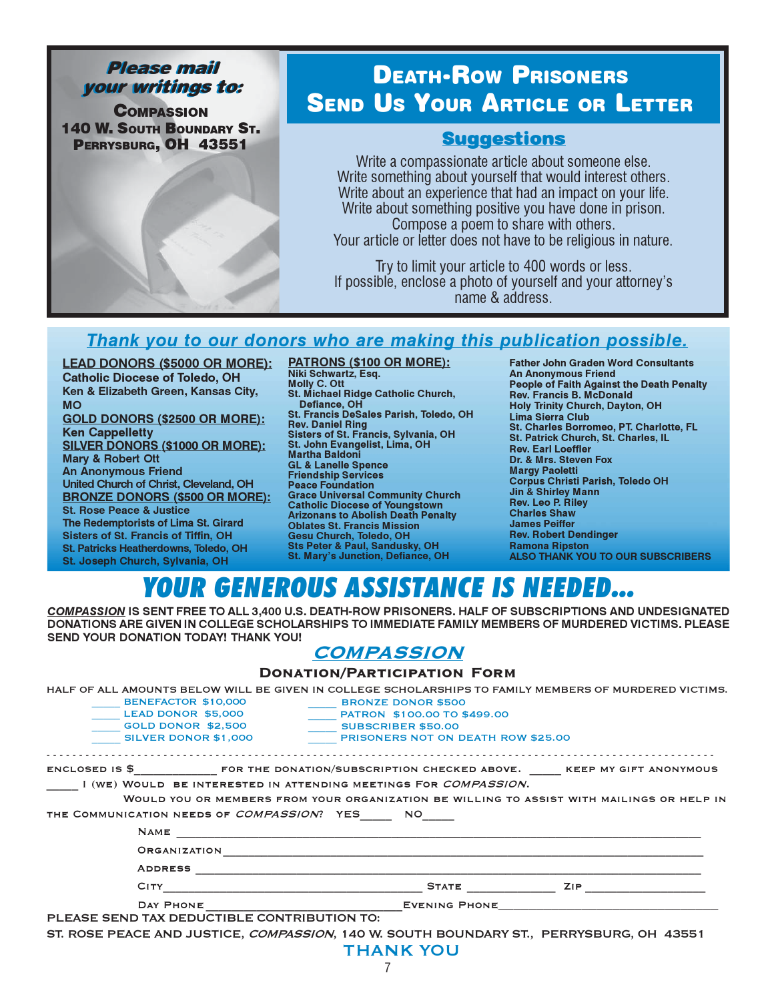

### DEATH-ROW PRISONERS SEND US YOUR ARTICLE OR LETTER

#### **Suggestions**

Write a compassionate article about someone else. Write something about yourself that would interest others. Write about an experience that had an impact on your life. Write about something positive you have done in prison. Compose a poem to share with others. Your article or letter does not have to be religious in nature.

Try to limit your article to 400 words or less. If possible, enclose a photo of yourself and your attorney's name & address.

#### Thank you to our donors who are making this publication possible.

LEAD DONORS (\$5000 OR MORE): Catholic Diocese of Toledo, OH Ken & Elizabeth Green, Kansas City, MO GOLD DONORS (\$2500 OR MORE): Ken Cappelletty SILVER DONORS (\$1000 OR MORE): Mary & Robert Ott An Anonymous Friend United Church of Christ, Cleveland, OH BRONZE DONORS (\$500 OR MORE): St. Rose Peace & Justice The Redemptorists of Lima St. Girard Sisters of St. Francis of Tiffin, OH St. Patricks Heatherdowns, Toledo, OH St. Joseph Church, Sylvania, OH

PATRONS (\$100 OR MORE): Niki Schwartz, Esq. Molly C. Ott St. Michael Ridge Catholic Church, Defiance, OH St. Francis DeSales Parish, Toledo, OH Rev. Daniel Ring Sisters of St. Francis, Sylvania, OH St. John Evangelist, Lima, OH Martha Baldoni GL & Lanelle Spence Friendship Services **Peace Foundation** Grace Universal Community Church Catholic Diocese of Youngstown Arizonans to Abolish Death Penalty Oblates St. Francis Mission Gesu Church, Toledo, OH Sts Peter & Paul, Sandusky, OH St. Mary's Junction, Defiance, OH

Father John Graden Word Consultants An Anonymous Friend People of Faith Against the Death Penalty Rev. Francis B. McDonald Holy Trinity Church, Dayton, OH Lima Sierra Club St. Charles Borromeo, PT. Charlotte, FL St. Patrick Church, St. Charles, IL Rev. Earl Loeffler Dr. & Mrs. Steven Fox Margy Paoletti Corpus Christi Parish, Toledo OH Jin & Shirley Mann Rev. Leo P. Riley Charles Shaw James Peiffer Rev. Robert Dendinger Ramona Ripston ALSO THANK YOU TO OUR SUBSCRIBERS

## YOUR GENEROUS ASSISTANCE IS NEEDED...

COMPASSION IS SENT FREE TO ALL 3,400 U.S. DEATH-ROW PRISONERS. HALF OF SUBSCRIPTIONS AND UNDESIGNATED DONATIONS ARE GIVEN IN COLLEGE SCHOLARSHIPS TO IMMEDIATE FAMILY MEMBERS OF MURDERED VICTIMS. PLEASE SEND YOUR DONATION TODAY! THANK YOU!

#### **COMPASSION**

#### Donation/Participation Form

|                                                       | HALF OF ALL AMOUNTS BELOW WILL BE GIVEN IN COLLEGE SCHOLARSHIPS TO FAMILY MEMBERS OF MURDERED VICTIMS.                                                                                                                         |  |
|-------------------------------------------------------|--------------------------------------------------------------------------------------------------------------------------------------------------------------------------------------------------------------------------------|--|
| BENEFACTOR \$10,000                                   | <b>BRONZE DONOR \$500</b>                                                                                                                                                                                                      |  |
| LEAD DONOR \$5,000                                    | PATRON \$100.00 TO \$499.00                                                                                                                                                                                                    |  |
| <b>GOLD DONOR \$2,500</b>                             | SUBSCRIBER \$50.00                                                                                                                                                                                                             |  |
| <b>SILVER DONOR \$1,000</b>                           | <b>PRISONERS NOT ON DEATH ROW \$25.00</b>                                                                                                                                                                                      |  |
|                                                       | ENCLOSED IS \$ FOR THE DONATION/SUBSCRIPTION CHECKED ABOVE. KEEP MY GIFT ANONYMOUS                                                                                                                                             |  |
|                                                       | I (WE) WOULD BE INTERESTED IN ATTENDING MEETINGS FOR <i>COMPASSION</i> .                                                                                                                                                       |  |
|                                                       | WOULD YOU OR MEMBERS FROM YOUR ORGANIZATION BE WILLING TO ASSIST WITH MAILINGS OR HELP IN                                                                                                                                      |  |
| THE COMMUNICATION NEEDS OF <i>COMPASSION</i> ? YES NO |                                                                                                                                                                                                                                |  |
| NAME                                                  |                                                                                                                                                                                                                                |  |
| <b>ORGANIZATION</b>                                   |                                                                                                                                                                                                                                |  |
| <b>ADDRESS</b>                                        |                                                                                                                                                                                                                                |  |
|                                                       | CITY CONTROL CONTROL CONTROL CONTROL CONTROL CONTROL CONTROL CONTROL CONTROL CONTROL CONTROL CONTROL CONTROL CONTROL CONTROL CONTROL CONTROL CONTROL CONTROL CONTROL CONTROL CONTROL CONTROL CONTROL CONTROL CONTROL CONTROL C |  |
|                                                       | DAY PHONE <b>EVENING PHONE</b>                                                                                                                                                                                                 |  |
| PLEASE SEND TAX DEDUCTIBLE CONTRIBUTION TO:           |                                                                                                                                                                                                                                |  |
|                                                       | ST. ROSE PEACE AND JUSTICE, COMPASSION, 140 W. SOUTH BOUNDARY ST., PERRYSBURG, OH 43551                                                                                                                                        |  |
|                                                       | <b>THANK YOU</b>                                                                                                                                                                                                               |  |
|                                                       |                                                                                                                                                                                                                                |  |